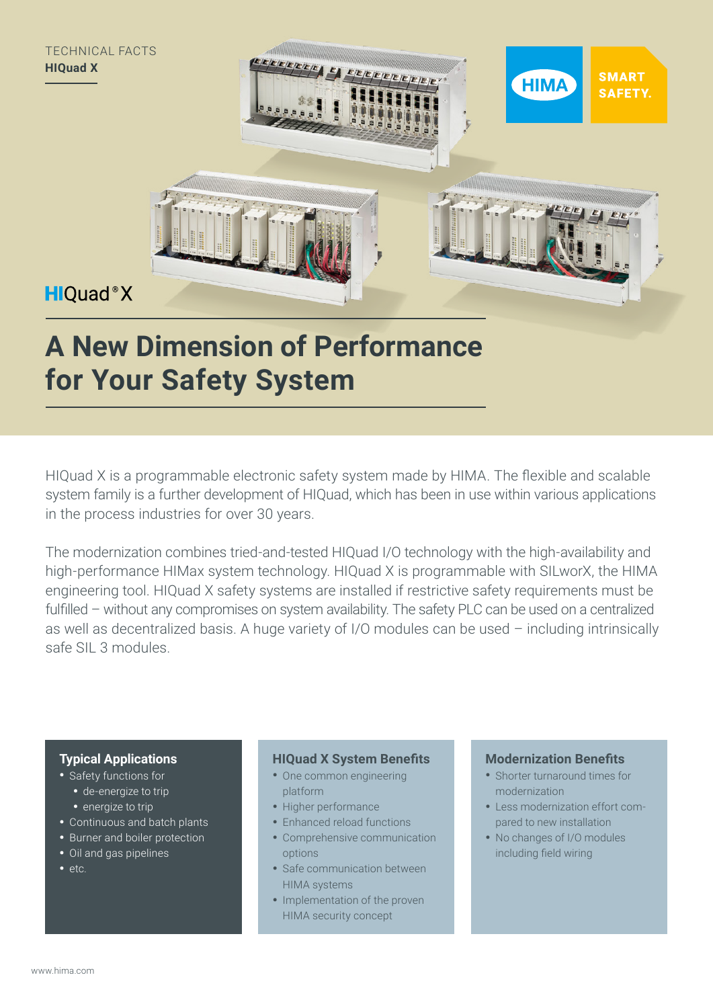

# **A New Dimension of Performance for Your Safety System**

HIQuad X is a programmable electronic safety system made by HIMA. The flexible and scalable system family is a further development of HIQuad, which has been in use within various applications in the process industries for over 30 years.

The modernization combines tried-and-tested HIQuad I/O technology with the high-availability and high-performance HIMax system technology. HIQuad X is programmable with SILworX, the HIMA engineering tool. HIQuad X safety systems are installed if restrictive safety requirements must be fulfilled – without any compromises on system availability. The safety PLC can be used on a centralized as well as decentralized basis. A huge variety of I/O modules can be used – including intrinsically safe SIL 3 modules.

# **Typical Applications**

- Safety functions for
	- de-energize to trip
	- energize to trip
- Continuous and batch plants
- Burner and boiler protection
- Oil and gas pipelines
- etc.

### **HIQuad X System Benefits**

- One common engineering platform
- Higher performance
- Enhanced reload functions
- Comprehensive communication options
- Safe communication between HIMA systems
- Implementation of the proven HIMA security concept

# **Modernization Benefits**

- Shorter turnaround times for modernization
- Less modernization effort compared to new installation
- No changes of I/O modules including field wiring